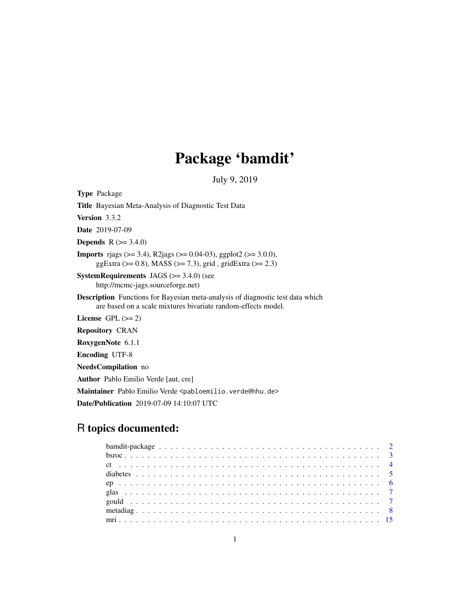# Package 'bamdit'

July 9, 2019

Type Package Title Bayesian Meta-Analysis of Diagnostic Test Data Version 3.3.2 Date 2019-07-09 **Depends** R  $(>= 3.4.0)$ Imports rjags (>= 3.4), R2jags (>= 0.04-03), ggplot2 (>= 3.0.0), ggExtra (>= 0.8), MASS (>= 7.3), grid , gridExtra (>= 2.3) SystemRequirements JAGS (>= 3.4.0) (see http://mcmc-jags.sourceforge.net) Description Functions for Bayesian meta-analysis of diagnostic test data which are based on a scale mixtures bivariate random-effects model. License GPL  $(>= 2)$ Repository CRAN RoxygenNote 6.1.1 Encoding UTF-8 NeedsCompilation no Author Pablo Emilio Verde [aut, cre] Maintainer Pablo Emilio Verde <pabloemilio.verde@hhu.de> Date/Publication 2019-07-09 14:10:07 UTC

# R topics documented: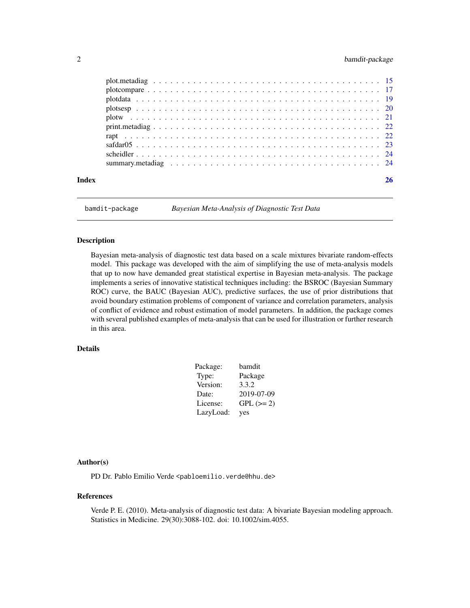# <span id="page-1-0"></span>2 bamdit-package

| Index |  |
|-------|--|

bamdit-package *Bayesian Meta-Analysis of Diagnostic Test Data*

# Description

Bayesian meta-analysis of diagnostic test data based on a scale mixtures bivariate random-effects model. This package was developed with the aim of simplifying the use of meta-analysis models that up to now have demanded great statistical expertise in Bayesian meta-analysis. The package implements a series of innovative statistical techniques including: the BSROC (Bayesian Summary ROC) curve, the BAUC (Bayesian AUC), predictive surfaces, the use of prior distributions that avoid boundary estimation problems of component of variance and correlation parameters, analysis of conflict of evidence and robust estimation of model parameters. In addition, the package comes with several published examples of meta-analysis that can be used for illustration or further research in this area.

#### Details

| Package:  | bamdit      |
|-----------|-------------|
| Type:     | Package     |
| Version:  | 3.3.2       |
| Date:     | 2019-07-09  |
| License:  | $GPL (= 2)$ |
| LazyLoad: | yes         |

#### Author(s)

PD Dr. Pablo Emilio Verde <pabloemilio.verde@hhu.de>

#### References

Verde P. E. (2010). Meta-analysis of diagnostic test data: A bivariate Bayesian modeling approach. Statistics in Medicine. 29(30):3088-102. doi: 10.1002/sim.4055.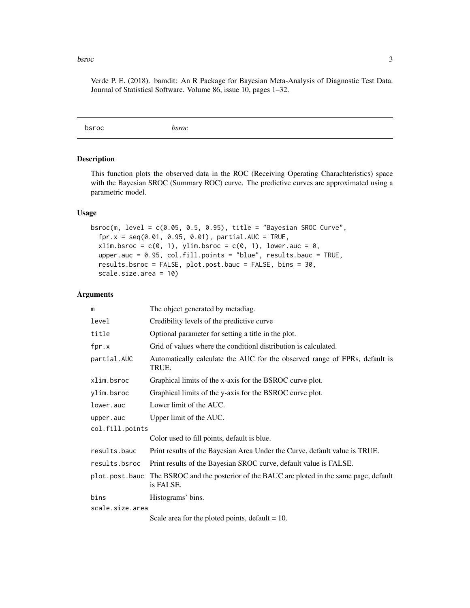#### <span id="page-2-0"></span>bsroc 3

Verde P. E. (2018). bamdit: An R Package for Bayesian Meta-Analysis of Diagnostic Test Data. Journal of Statisticsl Software. Volume 86, issue 10, pages 1–32.

bsroc *bsroc*

#### Description

This function plots the observed data in the ROC (Receiving Operating Charachteristics) space with the Bayesian SROC (Summary ROC) curve. The predictive curves are approximated using a parametric model.

#### Usage

```
bsroc(m, level = c(0.05, 0.5, 0.95), title = "Bayesian SROC Curve",
  fpr.x = seq(0.01, 0.95, 0.01), partial AUC = TRUE,xlim.bsroc = c(\theta, 1), ylim.bsroc = c(\theta, 1), lower.auc = \theta,
  upper.auc = 0.95, col.fill.points = "blue", results.bauc = TRUE,
  results.bsroc = FALSE, plot.post.bauc = FALSE, bins = 30,
  scale.size.area = 10)
```
#### Arguments

| m               | The object generated by metadiag.                                                                          |
|-----------------|------------------------------------------------------------------------------------------------------------|
| level           | Credibility levels of the predictive curve                                                                 |
| title           | Optional parameter for setting a title in the plot.                                                        |
| fpr.x           | Grid of values where the conditional distribution is calculated.                                           |
| partial.AUC     | Automatically calculate the AUC for the observed range of FPRs, default is<br>TRUE.                        |
| xlim.bsroc      | Graphical limits of the x-axis for the BSROC curve plot.                                                   |
| ylim.bsroc      | Graphical limits of the y-axis for the BSROC curve plot.                                                   |
| lower.auc       | Lower limit of the AUC.                                                                                    |
| upper.auc       | Upper limit of the AUC.                                                                                    |
| col.fill.points |                                                                                                            |
|                 | Color used to fill points, default is blue.                                                                |
| results.bauc    | Print results of the Bayesian Area Under the Curve, default value is TRUE.                                 |
| results.bsroc   | Print results of the Bayesian SROC curve, default value is FALSE.                                          |
|                 | plot post bauded the BSROC and the posterior of the BAUC are ploted in the same page, default<br>is FALSE. |
| bins            | Histograms' bins.                                                                                          |
| scale.size.area |                                                                                                            |
|                 | Scale area for the ploted points, default $= 10$ .                                                         |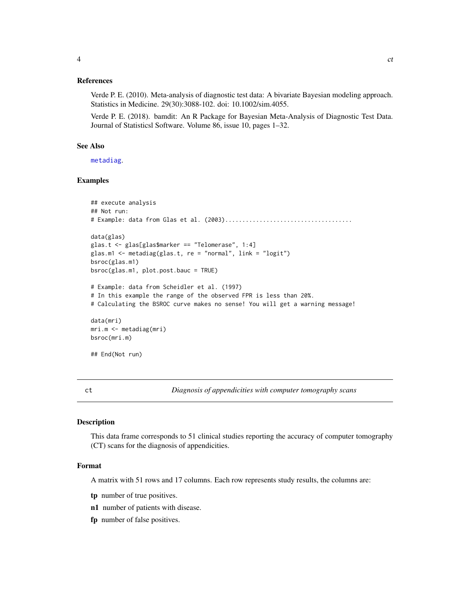<span id="page-3-0"></span>Verde P. E. (2010). Meta-analysis of diagnostic test data: A bivariate Bayesian modeling approach. Statistics in Medicine. 29(30):3088-102. doi: 10.1002/sim.4055.

Verde P. E. (2018). bamdit: An R Package for Bayesian Meta-Analysis of Diagnostic Test Data. Journal of Statisticsl Software. Volume 86, issue 10, pages 1–32.

#### See Also

[metadiag](#page-7-1).

# Examples

```
## execute analysis
## Not run:
# Example: data from Glas et al. (2003).....................................
data(glas)
glas.t <- glas[glas$marker == "Telomerase", 1:4]
glas.m1 <- metadiag(glas.t, re = "normal", link = "logit")
bsroc(glas.m1)
bsroc(glas.m1, plot.post.bauc = TRUE)
# Example: data from Scheidler et al. (1997)
# In this example the range of the observed FPR is less than 20%.
# Calculating the BSROC curve makes no sense! You will get a warning message!
data(mri)
mri.m <- metadiag(mri)
bsroc(mri.m)
## End(Not run)
```
ct *Diagnosis of appendicities with computer tomography scans*

# Description

This data frame corresponds to 51 clinical studies reporting the accuracy of computer tomography (CT) scans for the diagnosis of appendicities.

#### Format

A matrix with 51 rows and 17 columns. Each row represents study results, the columns are:

tp number of true positives.

- n1 number of patients with disease.
- fp number of false positives.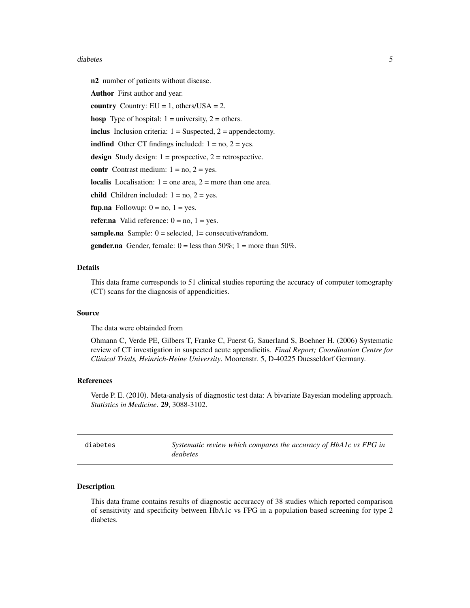#### <span id="page-4-0"></span>diabetes 5

n2 number of patients without disease. Author First author and year. country Country:  $EU = 1$ , others/USA = 2. hosp Type of hospital:  $1 =$  university,  $2 =$  others. inclus Inclusion criteria:  $1 =$  Suspected,  $2 =$  appendectomy. **indfind** Other CT findings included:  $1 = no$ ,  $2 = yes$ . design Study design:  $1 =$  prospective,  $2 =$  retrospective. contr Contrast medium:  $1 = no$ ,  $2 = yes$ . **localis** Localisation:  $1 =$  one area,  $2 =$  more than one area. child Children included:  $1 = no$ ,  $2 = yes$ . fup.na Followup:  $0 = no$ ,  $1 = yes$ . **refer.na** Valid reference:  $0 = no$ ,  $1 = yes$ . sample.na Sample:  $0 =$  selected,  $1 =$  consecutive/random. **gender.na** Gender, female:  $0 =$  less than 50%; 1 = more than 50%.

#### Details

This data frame corresponds to 51 clinical studies reporting the accuracy of computer tomography (CT) scans for the diagnosis of appendicities.

# Source

The data were obtainded from

Ohmann C, Verde PE, Gilbers T, Franke C, Fuerst G, Sauerland S, Boehner H. (2006) Systematic review of CT investigation in suspected acute appendicitis. *Final Report; Coordination Centre for Clinical Trials, Heinrich-Heine University*. Moorenstr. 5, D-40225 Duesseldorf Germany.

#### References

Verde P. E. (2010). Meta-analysis of diagnostic test data: A bivariate Bayesian modeling approach. *Statistics in Medicine*. 29, 3088-3102.

| diabetes | Systematic review which compares the accuracy of HbA1c vs FPG in |
|----------|------------------------------------------------------------------|
|          | deabetes                                                         |

#### **Description**

This data frame contains results of diagnostic accuraccy of 38 studies which reported comparison of sensitivity and specificity between HbA1c vs FPG in a population based screening for type 2 diabetes.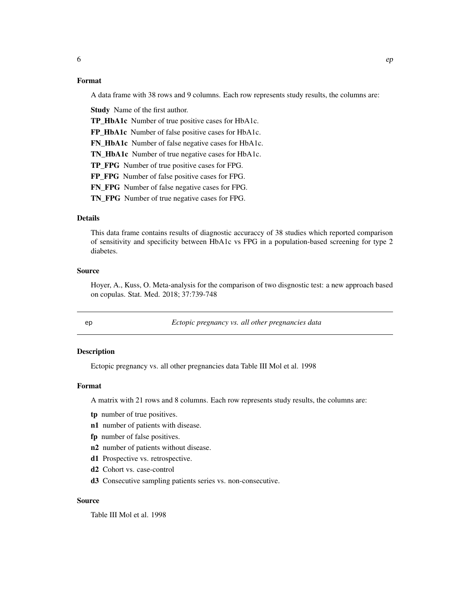# <span id="page-5-0"></span>Format

A data frame with 38 rows and 9 columns. Each row represents study results, the columns are:

Study Name of the first author.

TP\_HbA1c Number of true positive cases for HbA1c.

FP\_HbA1c Number of false positive cases for HbA1c.

FN\_HbA1c Number of false negative cases for HbA1c.

TN\_HbA1c Number of true negative cases for HbA1c.

TP\_FPG Number of true positive cases for FPG.

FP\_FPG Number of false positive cases for FPG.

FN\_FPG Number of false negative cases for FPG.

TN\_FPG Number of true negative cases for FPG.

### Details

This data frame contains results of diagnostic accuraccy of 38 studies which reported comparison of sensitivity and specificity between HbA1c vs FPG in a population-based screening for type 2 diabetes.

### Source

Hoyer, A., Kuss, O. Meta-analysis for the comparison of two disgnostic test: a new approach based on copulas. Stat. Med. 2018; 37:739-748

ep *Ectopic pregnancy vs. all other pregnancies data*

#### **Description**

Ectopic pregnancy vs. all other pregnancies data Table III Mol et al. 1998

#### Format

A matrix with 21 rows and 8 columns. Each row represents study results, the columns are:

- tp number of true positives.
- n1 number of patients with disease.
- fp number of false positives.
- n2 number of patients without disease.
- d1 Prospective vs. retrospective.
- d2 Cohort vs. case-control
- d3 Consecutive sampling patients series vs. non-consecutive.

#### Source

Table III Mol et al. 1998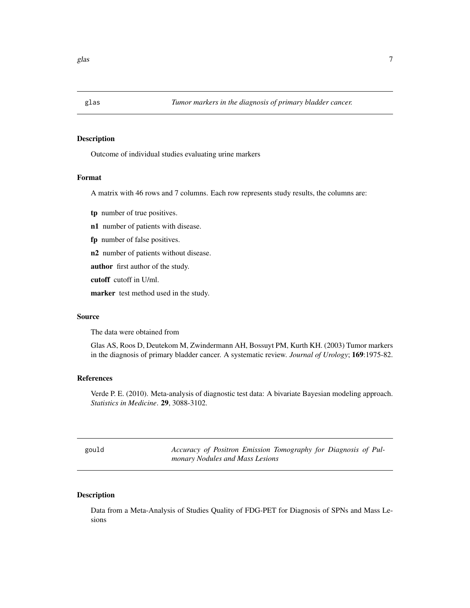<span id="page-6-0"></span>

# Description

Outcome of individual studies evaluating urine markers

#### Format

A matrix with 46 rows and 7 columns. Each row represents study results, the columns are:

tp number of true positives.

n1 number of patients with disease.

fp number of false positives.

n2 number of patients without disease.

author first author of the study.

cutoff cutoff in U/ml.

marker test method used in the study.

### Source

The data were obtained from

Glas AS, Roos D, Deutekom M, Zwindermann AH, Bossuyt PM, Kurth KH. (2003) Tumor markers in the diagnosis of primary bladder cancer. A systematic review. *Journal of Urology*; 169:1975-82.

# References

Verde P. E. (2010). Meta-analysis of diagnostic test data: A bivariate Bayesian modeling approach. *Statistics in Medicine*. 29, 3088-3102.

gould *Accuracy of Positron Emission Tomography for Diagnosis of Pulmonary Nodules and Mass Lesions*

### Description

Data from a Meta-Analysis of Studies Quality of FDG-PET for Diagnosis of SPNs and Mass Lesions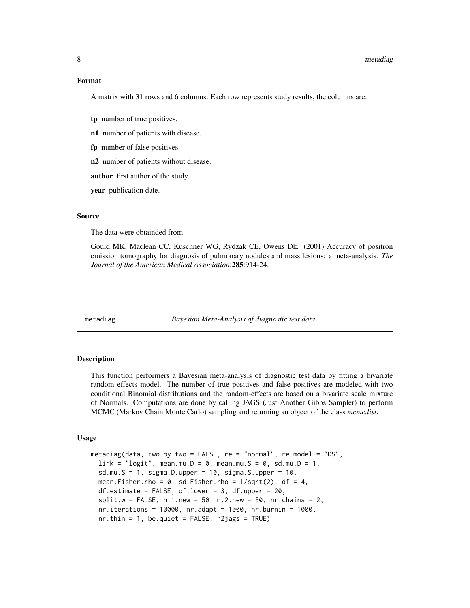#### 8 metadiag

#### Format

A matrix with 31 rows and 6 columns. Each row represents study results, the columns are:

- tp number of true positives.
- n1 number of patients with disease.
- fp number of false positives.
- n2 number of patients without disease.
- author first author of the study.

year publication date.

#### Source

The data were obtainded from

Gould MK, Maclean CC, Kuschner WG, Rydzak CE, Owens Dk. (2001) Accuracy of positron emission tomography for diagnosis of pulmonary nodules and mass lesions: a meta-analysis. *The Journal of the American Medical Association*;285:914-24.

<span id="page-7-1"></span>

metadiag *Bayesian Meta-Analysis of diagnostic test data*

# Description

This function performers a Bayesian meta-analysis of diagnostic test data by fitting a bivariate random effects model. The number of true positives and false positives are modeled with two conditional Binomial distributions and the random-effects are based on a bivariate scale mixture of Normals. Computations are done by calling JAGS (Just Another Gibbs Sampler) to perform MCMC (Markov Chain Monte Carlo) sampling and returning an object of the class *mcmc.list*.

#### Usage

```
metadiag(data, two.by.two = FALSE, re = "normal", re.model = "DS",
  link = "logit", mean.mu.D = 0, mean.mu.S = 0, sd.mu.D = 1,
  sd.mu.S = 1, sigma.D.upper = 10, sigma.S.upper = 10,
 mean.Fisher.rho = 0, sd.Fisher.rho = 1/\sqrt{2}, df = 4,
 df.estimate = FALSE, df.lower = 3, df.upper = 20,split.w = FALSE, n.1.new = 50, n.2.new = 50, nr.chains = 2,nr.iterations = 10000, nr.adapt = 1000, nr.burnin = 1000,
  nr.thin = 1, be.quiet = FALSE, r2jags = TRUE)
```
<span id="page-7-0"></span>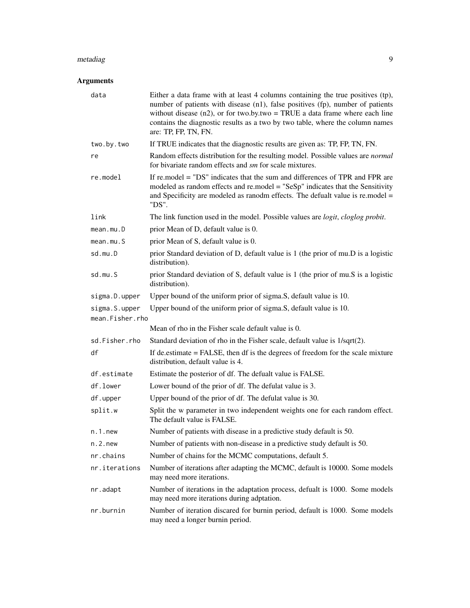#### metadiag 9

# Arguments

| data                             | Either a data frame with at least 4 columns containing the true positives (tp),<br>number of patients with disease (n1), false positives (fp), number of patients<br>without disease $(n2)$ , or for two.by.two = TRUE a data frame where each line<br>contains the diagnostic results as a two by two table, where the column names<br>are: TP, FP, TN, FN. |
|----------------------------------|--------------------------------------------------------------------------------------------------------------------------------------------------------------------------------------------------------------------------------------------------------------------------------------------------------------------------------------------------------------|
| two.by.two                       | If TRUE indicates that the diagnostic results are given as: TP, FP, TN, FN.                                                                                                                                                                                                                                                                                  |
| re                               | Random effects distribution for the resulting model. Possible values are <i>normal</i><br>for bivariate random effects and sm for scale mixtures.                                                                                                                                                                                                            |
| $re$ .model                      | If re.model = "DS" indicates that the sum and differences of TPR and FPR are<br>modeled as random effects and re.model $=$ "SeSp" indicates that the Sensitivity<br>and Specificity are modeled as ranodm effects. The defualt value is re.model =<br>"DS".                                                                                                  |
| link                             | The link function used in the model. Possible values are <i>logit</i> , <i>cloglog probit</i> .                                                                                                                                                                                                                                                              |
| mean.mu.D                        | prior Mean of D, default value is 0.                                                                                                                                                                                                                                                                                                                         |
| mean.mu.S                        | prior Mean of S, default value is 0.                                                                                                                                                                                                                                                                                                                         |
| sd.mu.D                          | prior Standard deviation of D, default value is 1 (the prior of mu.D is a logistic<br>distribution).                                                                                                                                                                                                                                                         |
| sd.mu.S                          | prior Standard deviation of S, default value is 1 (the prior of mu.S is a logistic<br>distribution).                                                                                                                                                                                                                                                         |
| sigma.D.upper                    | Upper bound of the uniform prior of sigma.S, default value is 10.                                                                                                                                                                                                                                                                                            |
| sigma.S.upper<br>mean.Fisher.rho | Upper bound of the uniform prior of sigma.S, default value is 10.                                                                                                                                                                                                                                                                                            |
|                                  | Mean of rho in the Fisher scale default value is 0.                                                                                                                                                                                                                                                                                                          |
| sd.Fisher.rho                    | Standard deviation of rho in the Fisher scale, default value is 1/sqrt(2).                                                                                                                                                                                                                                                                                   |
| df                               | If de.estimate = FALSE, then df is the degrees of freedom for the scale mixture<br>distribution, default value is 4.                                                                                                                                                                                                                                         |
| df.estimate                      | Estimate the posterior of df. The defualt value is FALSE.                                                                                                                                                                                                                                                                                                    |
| df.lower                         | Lower bound of the prior of df. The defulat value is 3.                                                                                                                                                                                                                                                                                                      |
| df.upper                         | Upper bound of the prior of df. The defulat value is 30.                                                                                                                                                                                                                                                                                                     |
| split.w                          | Split the w parameter in two independent weights one for each random effect.<br>The default value is FALSE.                                                                                                                                                                                                                                                  |
| $n.1.$ new                       | Number of patients with disease in a predictive study default is 50.                                                                                                                                                                                                                                                                                         |
| $n.2.$ new                       | Number of patients with non-disease in a predictive study default is 50.                                                                                                                                                                                                                                                                                     |
| nr.chains                        | Number of chains for the MCMC computations, default 5.                                                                                                                                                                                                                                                                                                       |
| nr.iterations                    | Number of iterations after adapting the MCMC, default is 10000. Some models<br>may need more iterations.                                                                                                                                                                                                                                                     |
| nr.adapt                         | Number of iterations in the adaptation process, defualt is 1000. Some models<br>may need more iterations during adptation.                                                                                                                                                                                                                                   |
| nr.burnin                        | Number of iteration discared for burnin period, default is 1000. Some models<br>may need a longer burnin period.                                                                                                                                                                                                                                             |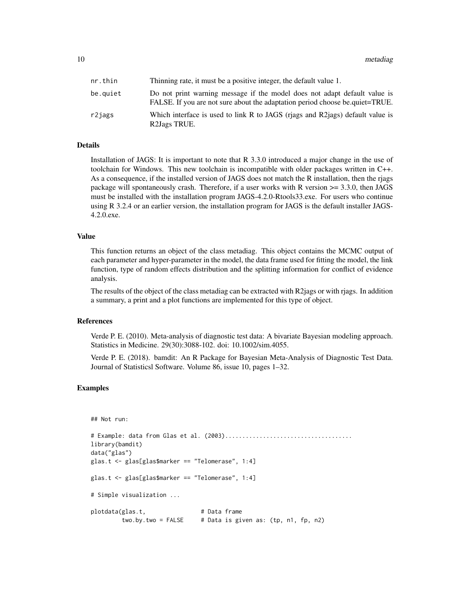| nr.thin  | Thinning rate, it must be a positive integer, the default value 1.                                                                                        |
|----------|-----------------------------------------------------------------------------------------------------------------------------------------------------------|
| be.quiet | Do not print warning message if the model does not adapt default value is<br>FALSE. If you are not sure about the adaptation period choose be quiet=TRUE. |
| r2jags   | Which interface is used to link R to JAGS (riags and R2jags) default value is<br>R2Jags TRUE.                                                             |

#### Details

Installation of JAGS: It is important to note that R 3.3.0 introduced a major change in the use of toolchain for Windows. This new toolchain is incompatible with older packages written in C++. As a consequence, if the installed version of JAGS does not match the R installation, then the rjags package will spontaneously crash. Therefore, if a user works with R version >= 3.3.0, then JAGS must be installed with the installation program JAGS-4.2.0-Rtools33.exe. For users who continue using R 3.2.4 or an earlier version, the installation program for JAGS is the default installer JAGS-4.2.0.exe.

#### Value

This function returns an object of the class metadiag. This object contains the MCMC output of each parameter and hyper-parameter in the model, the data frame used for fitting the model, the link function, type of random effects distribution and the splitting information for conflict of evidence analysis.

The results of the object of the class metadiag can be extracted with R2jags or with rjags. In addition a summary, a print and a plot functions are implemented for this type of object.

#### References

Verde P. E. (2010). Meta-analysis of diagnostic test data: A bivariate Bayesian modeling approach. Statistics in Medicine. 29(30):3088-102. doi: 10.1002/sim.4055.

Verde P. E. (2018). bamdit: An R Package for Bayesian Meta-Analysis of Diagnostic Test Data. Journal of Statisticsl Software. Volume 86, issue 10, pages 1–32.

# Examples

## Not run:

```
# Example: data from Glas et al. (2003).....................................
library(bamdit)
data("glas")
glas.t <- glas[glas$marker == "Telomerase", 1:4]
glas.t <- glas[glas$marker == "Telomerase", 1:4]
# Simple visualization ...
plotdata(glas.t, \qquad \qquad # Data frametwo.by.two = FALSE # Data is given as: (tp, n1, fp, n2)
```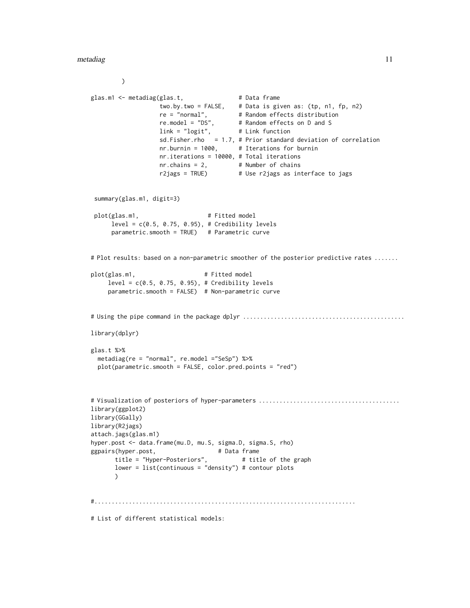$\lambda$ 

```
glas.m1 <- metadiag(glas.t, \qquad # Data frame
                  two.by.two = FALSE, # Data is given as: (tp, n1, fp, n2)
                  re = "normal", # Random effects distribution
                  re.model = "DS", # Random effects on D and S
                  link = "logit", # Link function
                  sd.Fisher.rho = 1.7, # Prior standard deviation of correlation
                  nr.burnin = 1000, # Iterations for burnin
                  nr.iterations = 10000, # Total iterations
                  nr.chains = 2, # Number of chains
                  r2jags = TRUE) # Use r2jags as interface to jags
summary(glas.m1, digit=3)
plot(glas.m1, # Fitted model
     level = c(0.5, 0.75, 0.95), # Credibility levels
     parametric.smooth = TRUE) # Parametric curve
# Plot results: based on a non-parametric smoother of the posterior predictive rates .......
plot(glas.m1, # Fitted model
    level = c(0.5, 0.75, 0.95), # Credibility levels
    parametric.smooth = FALSE) # Non-parametric curve
# Using the pipe command in the package dplyr ...............................................
library(dplyr)
glas.t %>%
 metadiag(re = "normal", re.model ="SeSp") %>%
 plot(parametric.smooth = FALSE, color.pred.points = "red")
# Visualization of posteriors of hyper-parameters .........................................
library(ggplot2)
library(GGally)
library(R2jags)
attach.jags(glas.m1)
hyper.post <- data.frame(mu.D, mu.S, sigma.D, sigma.S, rho)
ggpairs(hyper.post, # Data frame
      title = "Hyper-Posteriors", # title of the graph
      lower = list(continuous = "density") # contour plots
      \lambda#............................................................................
```
# List of different statistical models: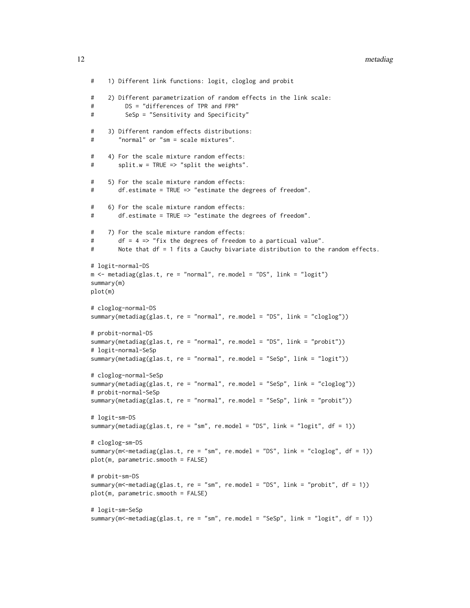```
# 1) Different link functions: logit, cloglog and probit
# 2) Different parametrization of random effects in the link scale:
# DS = "differences of TPR and FPR"
# SeSp = "Sensitivity and Specificity"
# 3) Different random effects distributions:
# "normal" or "sm = scale mixtures".
# 4) For the scale mixture random effects:
# split.w = TRUE => "split the weights".
# 5) For the scale mixture random effects:
# df.estimate = TRUE => "estimate the degrees of freedom".
# 6) For the scale mixture random effects:
# df.estimate = TRUE => "estimate the degrees of freedom".
# 7) For the scale mixture random effects:
# df = 4 => "fix the degrees of freedom to a particual value".
# Note that df = 1 fits a Cauchy bivariate distribution to the random effects.
# logit-normal-DS
m <- metadiag(glas.t, re = "normal", re.model = "DS", link = "logit")
summary(m)
plot(m)
# cloglog-normal-DS
summary(metadiag(glas.t, re = "normal", re.model = "DS", link = "cloglog"))
# probit-normal-DS
summary(metadiag(glas.t, re = "normal", re.model = "DS", link = "probit"))
# logit-normal-SeSp
summary(metadiag(glas.t, re = "normal", re.model = "SeSp", link = "logit"))
# cloglog-normal-SeSp
summary(metadiag(glas.t, re = "normal", re.model = "SeSp", link = "cloglog"))
# probit-normal-SeSp
summary(metadiag(glas.t, re = "normal", re.model = "SeSp", link = "probit"))
# logit-sm-DS
summary(metadiag(glas.t, re = "sm", re.model = "DS", link = "logit", df = 1))
# cloglog-sm-DS
summary(m<-metadiag(glas.t, re = "sm", re.model = "DS", link = "cloglog", df = 1))
plot(m, parametric.smooth = FALSE)
# probit-sm-DS
summary(m<-metadiag(glas.t, re = "sm", re.model = "DS", link = "probit", df = 1))
plot(m, parametric.smooth = FALSE)
# logit-sm-SeSp
summary(m<-metadiag(glas.t, re = "sm", re.model = "SeSp", link = "logit", df = 1))
```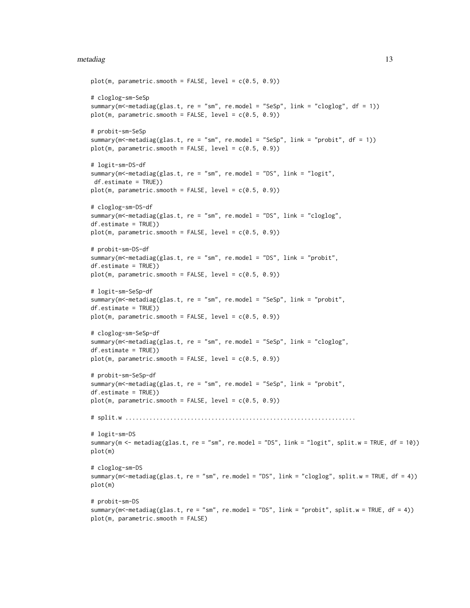#### metadiag and the state of the state of the state of the state of the state of the state of the state of the state of the state of the state of the state of the state of the state of the state of the state of the state of t

```
plot(m, parametric-smooth = FALSE, level = c(0.5, 0.9))# cloglog-sm-SeSp
summary(m<-metadiag(glas.t, re = "sm", re.model = "SeSp", link = "cloglog", df = 1))
plot(m, parametric.smooth = FALSE, level = c(0.5, 0.9))
# probit-sm-SeSp
summary(m<-metadiag(glas.t, re = "sm", re.model = "SeSp", link = "probit", df = 1))
plot(m, parametric-smooth = FALSE, level = c(0.5, 0.9))# logit-sm-DS-df
summary(m<-metadiag(glas.t, re = "sm", re.model = "DS", link = "logit",
 df.estimate = TRUE))
plot(m, parametric-smooth = FALSE, level = c(0.5, 0.9))# cloglog-sm-DS-df
summary(m<-metadiag(glas.t, re = "sm", re.model = "DS", link = "cloglog",
df.estimate = TRUE))
plot(m, parametric-smooth = FALSE, level = c(0.5, 0.9))# probit-sm-DS-df
summary(m<-metadiag(glas.t, re = "sm", re.model = "DS", link = "probit",
df.estimate = TRUE))
plot(m, parametric-smooth = FALSE, level = c(0.5, 0.9))# logit-sm-SeSp-df
summary(m<-metadiag(glas.t, re = "sm", re.model = "SeSp", link = "probit",
df.estimate = TRUE))
plot(m, parametric-smooth = FALSE, level = c(0.5, 0.9))# cloglog-sm-SeSp-df
summary(m<-metadiag(glas.t, re = "sm", re.model = "SeSp", link = "cloglog",
df.estimate = TRUE))
plot(m, parametric-smooth = FALSE, level = c(0.5, 0.9))# probit-sm-SeSp-df
summary(m<-metadiag(glas.t, re = "sm", re.model = "SeSp", link = "probit",
df.estimate = TRUE))
plot(m, parametric-smooth = FALSE, level = c(0.5, 0.9))# split.w ...................................................................
# logit-sm-DS
summary(m <- metadiag(glas.t, re = "sm", re.model = "DS", link = "logit", split.w = TRUE, df = 10))
plot(m)
# cloglog-sm-DS
summary(m<-metadiag(glas.t, re = "sm", re.model = "DS", link = "cloglog", split.w = TRUE, df = 4))
plot(m)
# probit-sm-DS
summary(m<-metadiag(glas.t, re = "sm", re.model = "DS", link = "probit", split.w = TRUE, df = 4))
plot(m, parametric.smooth = FALSE)
```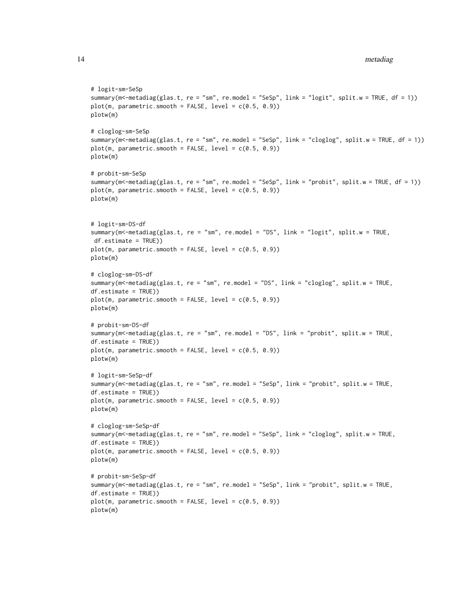```
# logit-sm-SeSp
summary(m<-metadiag(glas.t, re = "sm", re.model = "SeSp", link = "logit", split.w = TRUE, df = 1))
plot(m, parametric-smooth = FALSE, level = c(0.5, 0.9))plotw(m)
# cloglog-sm-SeSp
summary(m<-metadiag(glas.t, re = "sm", re.model = "SeSp", link = "cloglog", split.w = TRUE, df = 1))
plot(m, parametric-smooth = FALSE, level = c(0.5, 0.9))plotw(m)
# probit-sm-SeSp
summary(m<-metadiag(glas.t, re = "sm", re.model = "SeSp", link = "probit", split.w = TRUE, df = 1))
plot(m, parametric-smooth = FALSE, level = c(0.5, 0.9))plotw(m)
# logit-sm-DS-df
summary(m<-metadiag(glas.t, re = "sm", re.model = "DS", link = "logit", split.w = TRUE,
df.estimate = TRUE))
plot(m, parametric-smooth = FALSE, level = c(0.5, 0.9))plotw(m)
# cloglog-sm-DS-df
summary(m<-metadiag(glas.t, re = "sm", re.model = "DS", link = "cloglog", split.w = TRUE,
df.estimate = TRUE))
plot(m, parametric-smooth = FALSE, level = c(0.5, 0.9))plotw(m)
# probit-sm-DS-df
summary(m<-metadiag(glas.t, re = "sm", re.model = "DS", link = "probit", split.w = TRUE,
df.estimate = TRUE))
plot(m, parametric-smooth = FALSE, level = c(0.5, 0.9))plotw(m)
# logit-sm-SeSp-df
summary(m<-metadiag(glas.t, re = "sm", re.model = "SeSp", link = "probit", split.w = TRUE,
df.estimate = TRUE))
plot(m, parametric-smooth = FALSE, level = c(0.5, 0.9))plotw(m)
# cloglog-sm-SeSp-df
summary(m<-metadiag(glas.t, re = "sm", re.model = "SeSp", link = "cloglog", split.w = TRUE,
df.estimate = TRUE))
plot(m, parametric-smooth = FALSE, level = c(0.5, 0.9))plotw(m)
# probit-sm-SeSp-df
summary(m<-metadiag(glas.t, re = "sm", re.model = "SeSp", link = "probit", split.w = TRUE,
df.estimate = TRUE))
plot(m, parametric-smooth = FALSE, level = c(0.5, 0.9))plotw(m)
```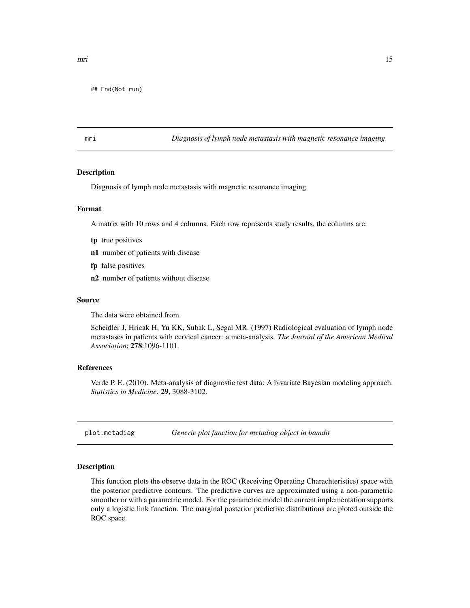<span id="page-14-0"></span>## End(Not run)

mri *Diagnosis of lymph node metastasis with magnetic resonance imaging*

#### Description

Diagnosis of lymph node metastasis with magnetic resonance imaging

#### Format

A matrix with 10 rows and 4 columns. Each row represents study results, the columns are:

- tp true positives
- n1 number of patients with disease
- fp false positives
- n2 number of patients without disease

# Source

The data were obtained from

Scheidler J, Hricak H, Yu KK, Subak L, Segal MR. (1997) Radiological evaluation of lymph node metastases in patients with cervical cancer: a meta-analysis. *The Journal of the American Medical Association*; 278:1096-1101.

# References

Verde P. E. (2010). Meta-analysis of diagnostic test data: A bivariate Bayesian modeling approach. *Statistics in Medicine*. 29, 3088-3102.

plot.metadiag *Generic plot function for metadiag object in bamdit*

#### Description

This function plots the observe data in the ROC (Receiving Operating Charachteristics) space with the posterior predictive contours. The predictive curves are approximated using a non-parametric smoother or with a parametric model. For the parametric model the current implementation supports only a logistic link function. The marginal posterior predictive distributions are ploted outside the ROC space.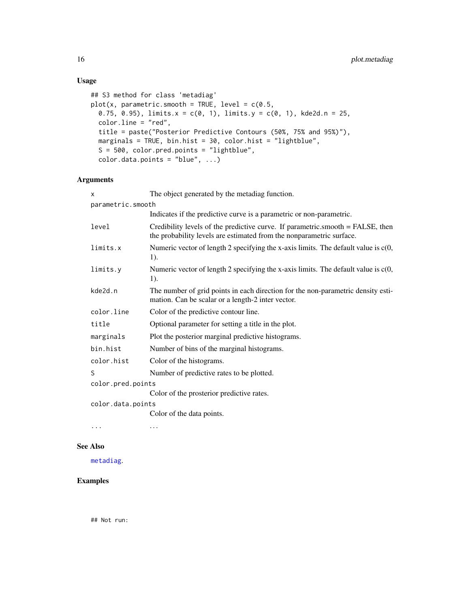# <span id="page-15-0"></span>Usage

```
## S3 method for class 'metadiag'
plot(x, parameteric-smooth = TRUE, level = c(0.5,0.75, 0.95), limits.x = c(0, 1), limits.y = c(0, 1), kde2d.n = 25,
 color.line = "red",
  title = paste("Posterior Predictive Contours (50%, 75% and 95%)"),
 marginals = TRUE, bin.hist = 30, color.hist = "lightblue",
  S = 500, color.pred.points = "lightblue",
  color.data.points = "blue", ...)
```
# Arguments

| X                 | The object generated by the metadiag function.                                                                                                         |
|-------------------|--------------------------------------------------------------------------------------------------------------------------------------------------------|
| parametric.smooth |                                                                                                                                                        |
|                   | Indicates if the predictive curve is a parametric or non-parametric.                                                                                   |
| level             | Credibility levels of the predictive curve. If parametric smooth = FALSE, then<br>the probability levels are estimated from the nonparametric surface. |
| limits.x          | Numeric vector of length 2 specifying the x-axis limits. The default value is $c(0, 0)$<br>1).                                                         |
| limits.y          | Numeric vector of length 2 specifying the x-axis limits. The default value is $c(0, 0)$<br>1).                                                         |
| kde2d.n           | The number of grid points in each direction for the non-parametric density esti-<br>mation. Can be scalar or a length-2 inter vector.                  |
| color.line        | Color of the predictive contour line.                                                                                                                  |
| title             | Optional parameter for setting a title in the plot.                                                                                                    |
| marginals         | Plot the posterior marginal predictive histograms.                                                                                                     |
| bin.hist          | Number of bins of the marginal histograms.                                                                                                             |
| color.hist        | Color of the histograms.                                                                                                                               |
| S                 | Number of predictive rates to be plotted.                                                                                                              |
| color.pred.points |                                                                                                                                                        |
|                   | Color of the prosterior predictive rates.                                                                                                              |
| color.data.points |                                                                                                                                                        |
|                   | Color of the data points.                                                                                                                              |
| .                 | $\cdots$                                                                                                                                               |

#### See Also

[metadiag](#page-7-1).

# Examples

## Not run: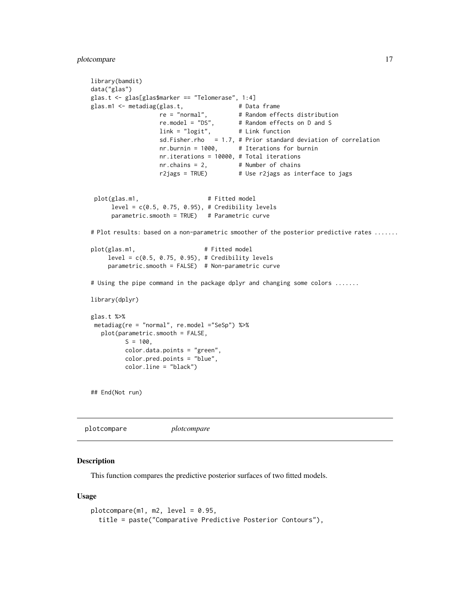# <span id="page-16-0"></span>plotcompare 17

```
library(bamdit)
 data("glas")
 glas.t <- glas[glas$marker == "Telomerase", 1:4]
 glas.m1 <- metadiag(glas.t, \qquad # Data frame
                    re = "normal", # Random effects distribution<br>re.model = "DS", # Random effects on D and S
                                         # Random effects on D and S
                    link = "logit", # Link function
                    sd.Fisher.rho = 1.7, # Prior standard deviation of correlation
                    nr.burnin = 1000, # Iterations for burnin
                    nr.iterations = 10000, # Total iterations
                    nr.chains = 2, # Number of chains
                    r2jags = TRUE) # Use r2jags as interface to jags
  plot(glas.m1, # Fitted model
       level = c(0.5, 0.75, 0.95), # Credibility levels
       parametric.smooth = TRUE) # Parametric curve
 # Plot results: based on a non-parametric smoother of the posterior predictive rates .......
 plot(glas.m1, # Fitted model
      level = c(0.5, 0.75, 0.95), # Credibility levels
      parametric.smooth = FALSE) # Non-parametric curve
 # Using the pipe command in the package dplyr and changing some colors .......
 library(dplyr)
 glas.t %>%
  metadiag(re = "normal", re.model ="SeSp") %>%
    plot(parametric.smooth = FALSE,
           S = 100,
           color.data.points = "green",
           color.pred.points = "blue",
           color.line = "black")
 ## End(Not run)
plotcompare plotcompare
```
#### Description

This function compares the predictive posterior surfaces of two fitted models.

#### Usage

```
plotcompare(m1, m2, level = 0.95,
  title = paste("Comparative Predictive Posterior Contours"),
```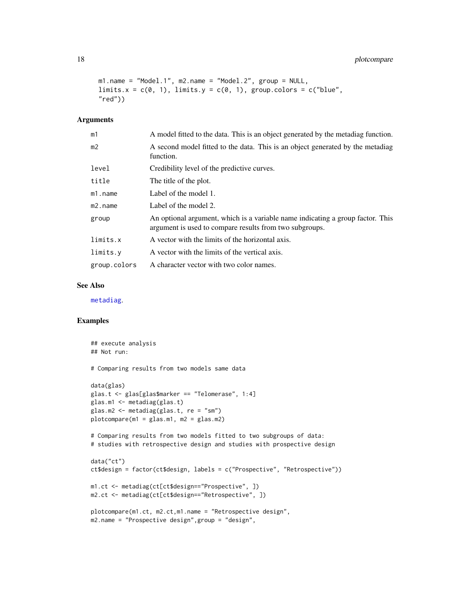```
m1.name = "Model.1", m2.name = "Model.2", group = NULL,limits.x = c(0, 1), limits.y = c(0, 1), group.colors = c("blue","red")
```
# Arguments

| m1             | A model fitted to the data. This is an object generated by the metadiag function.                                                         |
|----------------|-------------------------------------------------------------------------------------------------------------------------------------------|
| m <sub>2</sub> | A second model fitted to the data. This is an object generated by the metadiag<br>function.                                               |
| level          | Credibility level of the predictive curves.                                                                                               |
| title          | The title of the plot.                                                                                                                    |
| $m1$ . name    | Label of the model 1.                                                                                                                     |
| m2.name        | Label of the model 2.                                                                                                                     |
| group          | An optional argument, which is a variable name indicating a group factor. This<br>argument is used to compare results from two subgroups. |
| limits.x       | A vector with the limits of the horizontal axis.                                                                                          |
| limits.y       | A vector with the limits of the vertical axis.                                                                                            |
| group.colors   | A character vector with two color names.                                                                                                  |

#### See Also

[metadiag](#page-7-1).

```
## execute analysis
## Not run:
# Comparing results from two models same data
data(glas)
glas.t <- glas[glas$marker == "Telomerase", 1:4]
glas.m1 <- metadiag(glas.t)
glas.m2 <- metadiag(glas.t, re = "sm")
plotcompare(m1 = glas.m1, m2 = glas.m2)
# Comparing results from two models fitted to two subgroups of data:
# studies with retrospective design and studies with prospective design
data("ct")
ct$design = factor(ct$design, labels = c("Prospective", "Retrospective"))
m1.ct <- metadiag(ct[ct$design=="Prospective", ])
m2.ct <- metadiag(ct[ct$design=="Retrospective", ])
plotcompare(m1.ct, m2.ct,m1.name = "Retrospective design",
m2.name = "Prospective design",group = "design",
```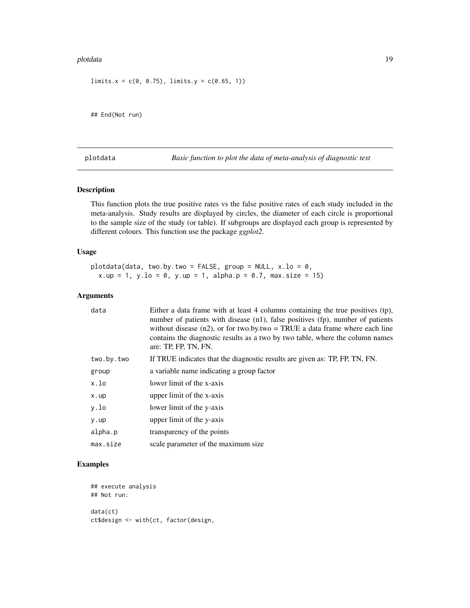#### <span id="page-18-0"></span>plotdata 19

```
limits.x = c(0, 0.75), limits.y = c(0.65, 1))
```
## End(Not run)

plotdata *Basic function to plot the data of meta-analysis of diagnostic test*

# Description

This function plots the true positive rates vs the false positive rates of each study included in the meta-analysis. Study results are displayed by circles, the diameter of each circle is proportional to the sample size of the study (or table). If subgroups are displayed each group is represented by different colours. This function use the package *ggplot2*.

#### Usage

plotdata(data, two.by.two = FALSE, group = NULL,  $x$ .lo = 0,  $x.up = 1$ ,  $y-lo = 0$ ,  $y.up = 1$ ,  $alpha.p = 0.7$ ,  $max.size = 15)$ 

# Arguments

| data       | Either a data frame with at least 4 columns containing the true positives (tp),<br>number of patients with disease (n1), false positives (fp), number of patients<br>without disease $(n2)$ , or for two.by.two = TRUE a data frame where each line<br>contains the diagnostic results as a two by two table, where the column names<br>are: TP, FP, TN, FN. |
|------------|--------------------------------------------------------------------------------------------------------------------------------------------------------------------------------------------------------------------------------------------------------------------------------------------------------------------------------------------------------------|
| two.by.two | If TRUE indicates that the diagnostic results are given as: TP, FP, TN, FN.                                                                                                                                                                                                                                                                                  |
| group      | a variable name indicating a group factor                                                                                                                                                                                                                                                                                                                    |
| x.lo       | lower limit of the x-axis                                                                                                                                                                                                                                                                                                                                    |
| x.up       | upper limit of the x-axis                                                                                                                                                                                                                                                                                                                                    |
| y.lo       | lower limit of the y-axis                                                                                                                                                                                                                                                                                                                                    |
| y.up       | upper limit of the y-axis                                                                                                                                                                                                                                                                                                                                    |
| alpha.p    | transparency of the points                                                                                                                                                                                                                                                                                                                                   |
| max.size   | scale parameter of the maximum size                                                                                                                                                                                                                                                                                                                          |

```
## execute analysis
## Not run:
data(ct)
ct$design <- with(ct, factor(design,
```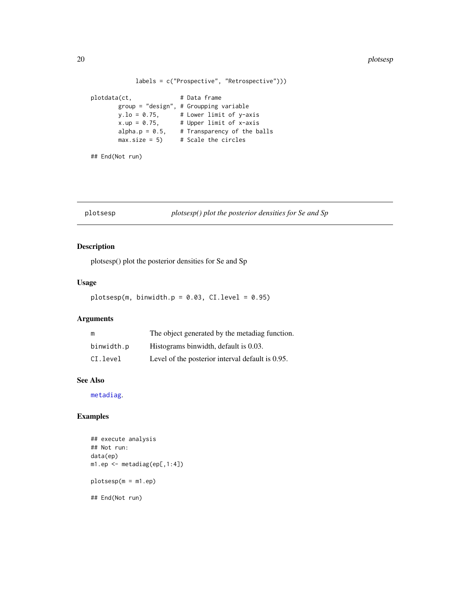```
labels = c("Prospective", "Retrospective")))
plotdata(ct, # Data frame
      group = "design", # Groupping variable
      y.1o = 0.75, # Lower limit of y-axis
      x.up = 0.75, # Upper limit of x-axisalpha.p = 0.5, # Transparency of the balls
      max.size = 5 # Scale the circles
## End(Not run)
```
plotsesp *plotsesp() plot the posterior densities for Se and Sp*

# Description

plotsesp() plot the posterior densities for Se and Sp

# Usage

plotsesp(m, binwidth.p = 0.03, CI.level = 0.95)

# Arguments

| m          | The object generated by the metadiag function.   |
|------------|--------------------------------------------------|
| binwidth.p | Histograms binwidth, default is 0.03.            |
| CI.level   | Level of the posterior interval default is 0.95. |

# See Also

[metadiag](#page-7-1).

```
## execute analysis
## Not run:
data(ep)
m1.ep <- metadiag(ep[,1:4])
plotsesp(m = m1.ep)
## End(Not run)
```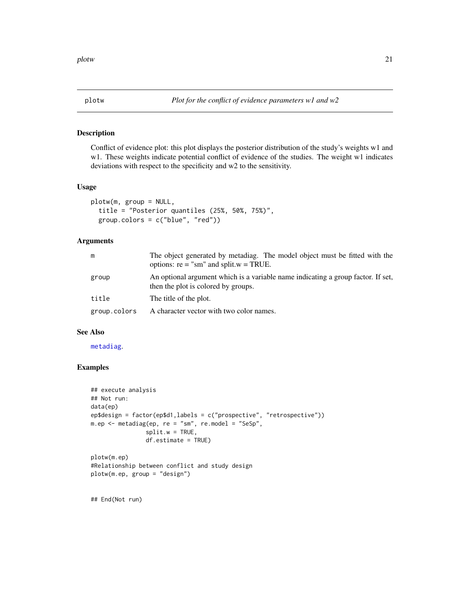<span id="page-20-0"></span>

#### Description

Conflict of evidence plot: this plot displays the posterior distribution of the study's weights w1 and w1. These weights indicate potential conflict of evidence of the studies. The weight w1 indicates deviations with respect to the specificity and w2 to the sensitivity.

# Usage

```
plotw(m, group = NULL,
  title = "Posterior quantiles (25%, 50%, 75%)",
  group.colors = c("blue", "red"))
```
# Arguments

|              | The object generated by metadiag. The model object must be fitted with the<br>options: $re = "sm"$ and split. $w = TRUE$ . |
|--------------|----------------------------------------------------------------------------------------------------------------------------|
| group        | An optional argument which is a variable name indicating a group factor. If set,<br>then the plot is colored by groups.    |
| title        | The title of the plot.                                                                                                     |
| group.colors | A character vector with two color names.                                                                                   |

#### See Also

[metadiag](#page-7-1).

```
## execute analysis
## Not run:
data(ep)
ep$design = factor(ep$d1,labels = c("prospective", "retrospective"))
m.ep < - metadiag(ep, re = "sm", re.model = "SeSp",
                split.w = TRUE,df.estimate = TRUE)
plotw(m.ep)
#Relationship between conflict and study design
plotw(m.ep, group = "design")
```

```
## End(Not run)
```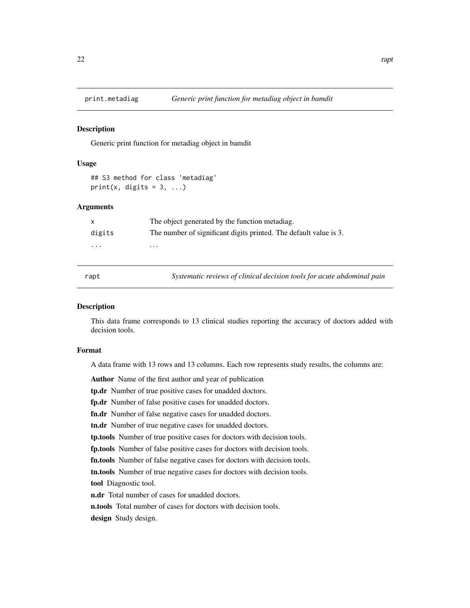<span id="page-21-0"></span>

# Description

Generic print function for metadiag object in bamdit

# Usage

## S3 method for class 'metadiag' print(x, digits =  $3, ...$ )

# Arguments

| X        | The object generated by the function metadiag.                    |
|----------|-------------------------------------------------------------------|
| digits   | The number of significant digits printed. The default value is 3. |
| $\cdots$ | $\cdots$                                                          |

rapt *Systematic reviews of clinical decision tools for acute abdominal pain*

#### Description

This data frame corresponds to 13 clinical studies reporting the accuracy of doctors added with decision tools.

#### Format

A data frame with 13 rows and 13 columns. Each row represents study results, the columns are:

Author Name of the first author and year of publication

tp.dr Number of true positive cases for unadded doctors.

fp.dr Number of false positive cases for unadded doctors.

fn.dr Number of false negative cases for unadded doctors.

tn.dr Number of true negative cases for unadded doctors.

tp.tools Number of true positive cases for doctors with decision tools.

fp.tools Number of false positive cases for doctors with decision tools.

fn.tools Number of false negative cases for doctors with decision tools.

tn.tools Number of true negative cases for doctors with decision tools.

tool Diagnostic tool.

n.dr Total number of cases for unadded doctors.

n.tools Total number of cases for doctors with decision tools.

design Study design.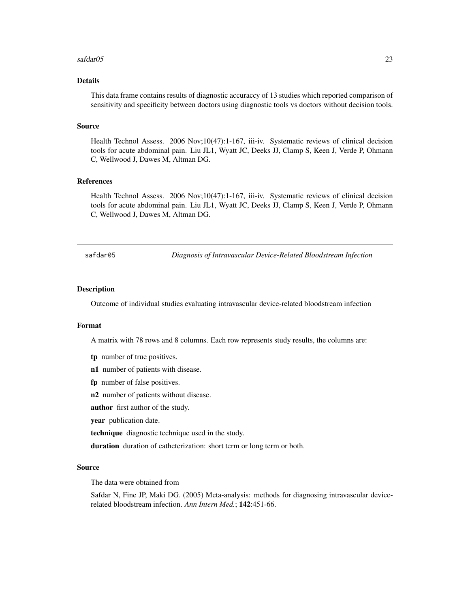#### <span id="page-22-0"></span>safdar05 23

# Details

This data frame contains results of diagnostic accuraccy of 13 studies which reported comparison of sensitivity and specificity between doctors using diagnostic tools vs doctors without decision tools.

#### Source

Health Technol Assess. 2006 Nov;10(47):1-167, iii-iv. Systematic reviews of clinical decision tools for acute abdominal pain. Liu JL1, Wyatt JC, Deeks JJ, Clamp S, Keen J, Verde P, Ohmann C, Wellwood J, Dawes M, Altman DG.

# References

Health Technol Assess. 2006 Nov;10(47):1-167, iii-iv. Systematic reviews of clinical decision tools for acute abdominal pain. Liu JL1, Wyatt JC, Deeks JJ, Clamp S, Keen J, Verde P, Ohmann C, Wellwood J, Dawes M, Altman DG.

safdar05 *Diagnosis of Intravascular Device-Related Bloodstream Infection*

#### Description

Outcome of individual studies evaluating intravascular device-related bloodstream infection

#### Format

A matrix with 78 rows and 8 columns. Each row represents study results, the columns are:

- tp number of true positives.
- n1 number of patients with disease.
- fp number of false positives.
- n2 number of patients without disease.

author first author of the study.

year publication date.

technique diagnostic technique used in the study.

duration duration of catheterization: short term or long term or both.

#### Source

The data were obtained from

Safdar N, Fine JP, Maki DG. (2005) Meta-analysis: methods for diagnosing intravascular devicerelated bloodstream infection. *Ann Intern Med.*; 142:451-66.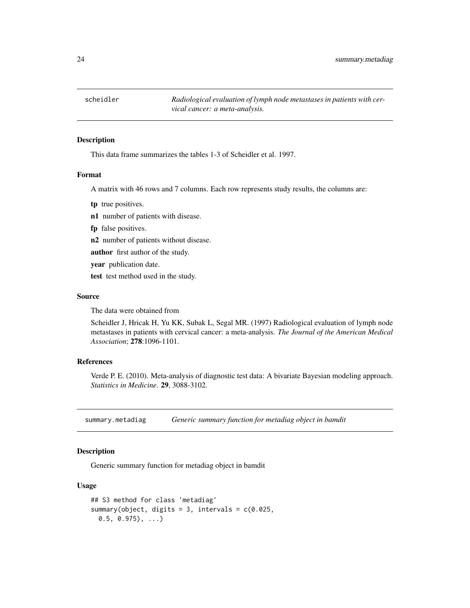<span id="page-23-0"></span>scheidler *Radiological evaluation of lymph node metastases in patients with cervical cancer: a meta-analysis.*

# Description

This data frame summarizes the tables 1-3 of Scheidler et al. 1997.

### Format

A matrix with 46 rows and 7 columns. Each row represents study results, the columns are:

tp true positives.

n1 number of patients with disease.

fp false positives.

n2 number of patients without disease.

author first author of the study.

year publication date.

test test method used in the study.

# Source

The data were obtained from

Scheidler J, Hricak H, Yu KK, Subak L, Segal MR. (1997) Radiological evaluation of lymph node metastases in patients with cervical cancer: a meta-analysis. *The Journal of the American Medical Association*; 278:1096-1101.

# References

Verde P. E. (2010). Meta-analysis of diagnostic test data: A bivariate Bayesian modeling approach. *Statistics in Medicine*. 29, 3088-3102.

summary.metadiag *Generic summary function for metadiag object in bamdit*

# **Description**

Generic summary function for metadiag object in bamdit

#### Usage

```
## S3 method for class 'metadiag'
summary(object, digits = 3, intervals = c(0.025,0.5, 0.975), \ldots
```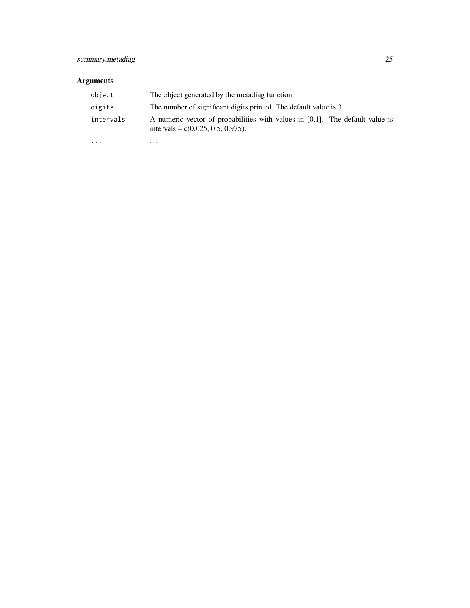# Arguments

| object    | The object generated by the metadiag function.                                                                          |
|-----------|-------------------------------------------------------------------------------------------------------------------------|
| digits    | The number of significant digits printed. The default value is 3.                                                       |
| intervals | A numeric vector of probabilities with values in $[0,1]$ . The default value is<br>intervals = $c(0.025, 0.5, 0.975)$ . |
| $\cdots$  | $\cdots$                                                                                                                |